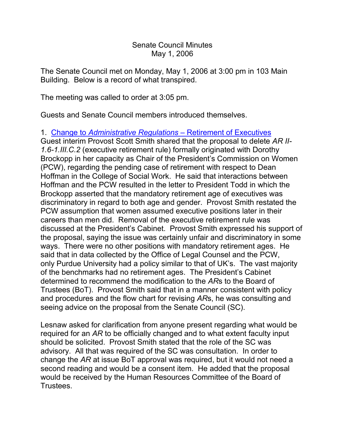## Senate Council Minutes May 1, 2006

The Senate Council met on Monday, May 1, 2006 at 3:00 pm in 103 Main Building. Below is a record of what transpired.

The meeting was called to order at 3:05 pm.

Guests and Senate Council members introduced themselves.

1. Change to *[Administrative Regulations](http://www.uky.edu/USC/New/SCAgendas/20060501/Change%20to%20Admin%20Reg_Ret%20of%20Executives.pdf)* – Retirement of Executives

Guest interim Provost Scott Smith shared that the proposal to delete *AR II-1.6-1.III.C.2* (executive retirement rule) formally originated with Dorothy Brockopp in her capacity as Chair of the President's Commission on Women (PCW), regarding the pending case of retirement with respect to Dean Hoffman in the College of Social Work. He said that interactions between Hoffman and the PCW resulted in the letter to President Todd in which the Brockopp asserted that the mandatory retirement age of executives was discriminatory in regard to both age and gender. Provost Smith restated the PCW assumption that women assumed executive positions later in their careers than men did. Removal of the executive retirement rule was discussed at the President's Cabinet. Provost Smith expressed his support of the proposal, saying the issue was certainly unfair and discriminatory in some ways. There were no other positions with mandatory retirement ages. He said that in data collected by the Office of Legal Counsel and the PCW, only Purdue University had a policy similar to that of UK's. The vast majority of the benchmarks had no retirement ages. The President's Cabinet determined to recommend the modification to the *AR*s to the Board of Trustees (BoT). Provost Smith said that in a manner consistent with policy and procedures and the flow chart for revising *AR*s, he was consulting and seeing advice on the proposal from the Senate Council (SC).

Lesnaw asked for clarification from anyone present regarding what would be required for an *AR* to be officially changed and to what extent faculty input should be solicited. Provost Smith stated that the role of the SC was advisory. All that was required of the SC was consultation. In order to change the *AR* at issue BoT approval was required, but it would not need a second reading and would be a consent item. He added that the proposal would be received by the Human Resources Committee of the Board of Trustees.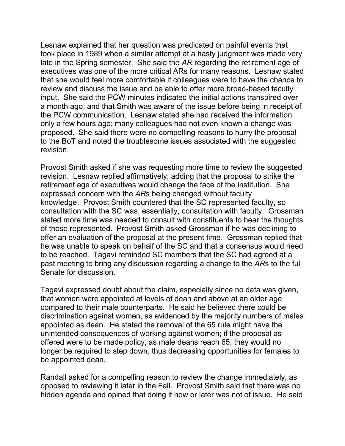Lesnaw explained that her question was predicated on painful events that took place in 1989 when a similar attempt at a hasty judgment was made very late in the Spring semester. She said the *AR* regarding the retirement age of executives was one of the more critical ARs for many reasons. Lesnaw stated that she would feel more comfortable if colleagues were to have the chance to review and discuss the issue and be able to offer more broad-based faculty input. She said the PCW minutes indicated the initial actions transpired over a month ago, and that Smith was aware of the issue before being in receipt of the PCW communication. Lesnaw stated she had received the information only a few hours ago; many colleagues had not even known a change was proposed. She said there were no compelling reasons to hurry the proposal to the BoT and noted the troublesome issues associated with the suggested revision.

Provost Smith asked if she was requesting more time to review the suggested revision. Lesnaw replied affirmatively, adding that the proposal to strike the retirement age of executives would change the face of the institution. She expressed concern with the *AR*s being changed without faculty knowledge. Provost Smith countered that the SC represented faculty, so consultation with the SC was, essentially, consultation with faculty. Grossman stated more time was needed to consult with constituents to hear the thoughts of those represented. Provost Smith asked Grossman if he was declining to offer an evaluation of the proposal at the present time. Grossman replied that he was unable to speak on behalf of the SC and that a consensus would need to be reached. Tagavi reminded SC members that the SC had agreed at a past meeting to bring any discussion regarding a change to the *AR*s to the full Senate for discussion.

Tagavi expressed doubt about the claim, especially since no data was given, that women were appointed at levels of dean and above at an older age compared to their male counterparts. He said he believed there could be discrimination against women, as evidenced by the majority numbers of males appointed as dean. He stated the removal of the 65 rule might have the unintended consequences of working against women; if the proposal as offered were to be made policy, as male deans reach 65, they would no longer be required to step down, thus decreasing opportunities for females to be appointed dean.

Randall asked for a compelling reason to review the change immediately, as opposed to reviewing it later in the Fall. Provost Smith said that there was no hidden agenda and opined that doing it now or later was not of issue. He said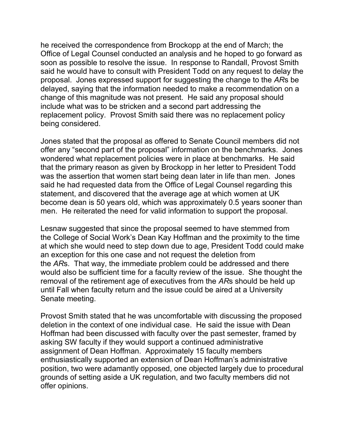he received the correspondence from Brockopp at the end of March; the Office of Legal Counsel conducted an analysis and he hoped to go forward as soon as possible to resolve the issue. In response to Randall, Provost Smith said he would have to consult with President Todd on any request to delay the proposal. Jones expressed support for suggesting the change to the *AR*s be delayed, saying that the information needed to make a recommendation on a change of this magnitude was not present. He said any proposal should include what was to be stricken and a second part addressing the replacement policy. Provost Smith said there was no replacement policy being considered.

Jones stated that the proposal as offered to Senate Council members did not offer any "second part of the proposal" information on the benchmarks. Jones wondered what replacement policies were in place at benchmarks. He said that the primary reason as given by Brockopp in her letter to President Todd was the assertion that women start being dean later in life than men. Jones said he had requested data from the Office of Legal Counsel regarding this statement, and discovered that the average age at which women at UK become dean is 50 years old, which was approximately 0.5 years sooner than men. He reiterated the need for valid information to support the proposal.

Lesnaw suggested that since the proposal seemed to have stemmed from the College of Social Work's Dean Kay Hoffman and the proximity to the time at which she would need to step down due to age, President Todd could make an exception for this one case and not request the deletion from the *AR*s. That way, the immediate problem could be addressed and there would also be sufficient time for a faculty review of the issue. She thought the removal of the retirement age of executives from the *AR*s should be held up until Fall when faculty return and the issue could be aired at a University Senate meeting.

Provost Smith stated that he was uncomfortable with discussing the proposed deletion in the context of one individual case. He said the issue with Dean Hoffman had been discussed with faculty over the past semester, framed by asking SW faculty if they would support a continued administrative assignment of Dean Hoffman. Approximately 15 faculty members enthusiastically supported an extension of Dean Hoffman's administrative position, two were adamantly opposed, one objected largely due to procedural grounds of setting aside a UK regulation, and two faculty members did not offer opinions.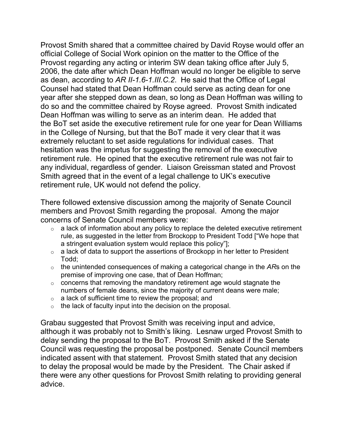Provost Smith shared that a committee chaired by David Royse would offer an official College of Social Work opinion on the matter to the Office of the Provost regarding any acting or interim SW dean taking office after July 5, 2006, the date after which Dean Hoffman would no longer be eligible to serve as dean, according to *AR II-1.6-1.III.C.2*. He said that the Office of Legal Counsel had stated that Dean Hoffman could serve as acting dean for one year after she stepped down as dean, so long as Dean Hoffman was willing to do so and the committee chaired by Royse agreed. Provost Smith indicated Dean Hoffman was willing to serve as an interim dean. He added that the BoT set aside the executive retirement rule for one year for Dean Williams in the College of Nursing, but that the BoT made it very clear that it was extremely reluctant to set aside regulations for individual cases. That hesitation was the impetus for suggesting the removal of the executive retirement rule. He opined that the executive retirement rule was not fair to any individual, regardless of gender. Liaison Greissman stated and Provost Smith agreed that in the event of a legal challenge to UK's executive retirement rule, UK would not defend the policy.

There followed extensive discussion among the majority of Senate Council members and Provost Smith regarding the proposal. Among the major concerns of Senate Council members were:

- $\circ$  a lack of information about any policy to replace the deleted executive retirement rule, as suggested in the letter from Brockopp to President Todd ["We hope that a stringent evaluation system would replace this policy"];
- $\circ$  a lack of data to support the assertions of Brockopp in her letter to President Todd;
- o the unintended consequences of making a categorical change in the *AR*s on the premise of improving one case, that of Dean Hoffman;
- $\circ$  concerns that removing the mandatory retirement age would stagnate the numbers of female deans, since the majority of current deans were male;
- $\circ$  a lack of sufficient time to review the proposal; and
- $\circ$  the lack of faculty input into the decision on the proposal.

Grabau suggested that Provost Smith was receiving input and advice, although it was probably not to Smith's liking. Lesnaw urged Provost Smith to delay sending the proposal to the BoT. Provost Smith asked if the Senate Council was requesting the proposal be postponed. Senate Council members indicated assent with that statement. Provost Smith stated that any decision to delay the proposal would be made by the President. The Chair asked if there were any other questions for Provost Smith relating to providing general advice.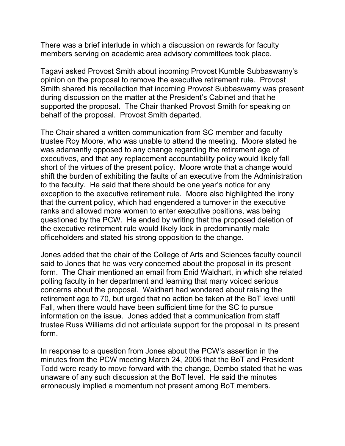There was a brief interlude in which a discussion on rewards for faculty members serving on academic area advisory committees took place.

Tagavi asked Provost Smith about incoming Provost Kumble Subbaswamy's opinion on the proposal to remove the executive retirement rule. Provost Smith shared his recollection that incoming Provost Subbaswamy was present during discussion on the matter at the President's Cabinet and that he supported the proposal. The Chair thanked Provost Smith for speaking on behalf of the proposal. Provost Smith departed.

The Chair shared a written communication from SC member and faculty trustee Roy Moore, who was unable to attend the meeting. Moore stated he was adamantly opposed to any change regarding the retirement age of executives, and that any replacement accountability policy would likely fall short of the virtues of the present policy. Moore wrote that a change would shift the burden of exhibiting the faults of an executive from the Administration to the faculty. He said that there should be one year's notice for any exception to the executive retirement rule. Moore also highlighted the irony that the current policy, which had engendered a turnover in the executive ranks and allowed more women to enter executive positions, was being questioned by the PCW. He ended by writing that the proposed deletion of the executive retirement rule would likely lock in predominantly male officeholders and stated his strong opposition to the change.

Jones added that the chair of the College of Arts and Sciences faculty council said to Jones that he was very concerned about the proposal in its present form. The Chair mentioned an email from Enid Waldhart, in which she related polling faculty in her department and learning that many voiced serious concerns about the proposal. Waldhart had wondered about raising the retirement age to 70, but urged that no action be taken at the BoT level until Fall, when there would have been sufficient time for the SC to pursue information on the issue. Jones added that a communication from staff trustee Russ Williams did not articulate support for the proposal in its present form.

In response to a question from Jones about the PCW's assertion in the minutes from the PCW meeting March 24, 2006 that the BoT and President Todd were ready to move forward with the change, Dembo stated that he was unaware of any such discussion at the BoT level. He said the minutes erroneously implied a momentum not present among BoT members.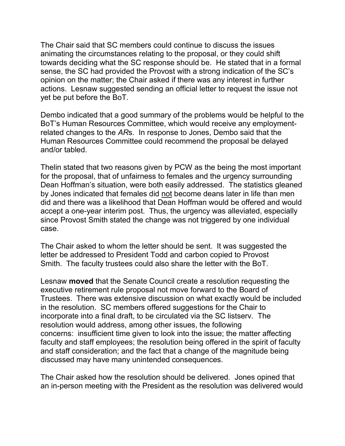The Chair said that SC members could continue to discuss the issues animating the circumstances relating to the proposal, or they could shift towards deciding what the SC response should be. He stated that in a formal sense, the SC had provided the Provost with a strong indication of the SC's opinion on the matter; the Chair asked if there was any interest in further actions. Lesnaw suggested sending an official letter to request the issue not yet be put before the BoT.

Dembo indicated that a good summary of the problems would be helpful to the BoT's Human Resources Committee, which would receive any employmentrelated changes to the *AR*s. In response to Jones, Dembo said that the Human Resources Committee could recommend the proposal be delayed and/or tabled.

Thelin stated that two reasons given by PCW as the being the most important for the proposal, that of unfairness to females and the urgency surrounding Dean Hoffman's situation, were both easily addressed. The statistics gleaned by Jones indicated that females did not become deans later in life than men did and there was a likelihood that Dean Hoffman would be offered and would accept a one-year interim post. Thus, the urgency was alleviated, especially since Provost Smith stated the change was not triggered by one individual case.

The Chair asked to whom the letter should be sent. It was suggested the letter be addressed to President Todd and carbon copied to Provost Smith. The faculty trustees could also share the letter with the BoT.

Lesnaw **moved** that the Senate Council create a resolution requesting the executive retirement rule proposal not move forward to the Board of Trustees. There was extensive discussion on what exactly would be included in the resolution. SC members offered suggestions for the Chair to incorporate into a final draft, to be circulated via the SC listserv. The resolution would address, among other issues, the following concerns: insufficient time given to look into the issue; the matter affecting faculty and staff employees; the resolution being offered in the spirit of faculty and staff consideration; and the fact that a change of the magnitude being discussed may have many unintended consequences.

The Chair asked how the resolution should be delivered. Jones opined that an in-person meeting with the President as the resolution was delivered would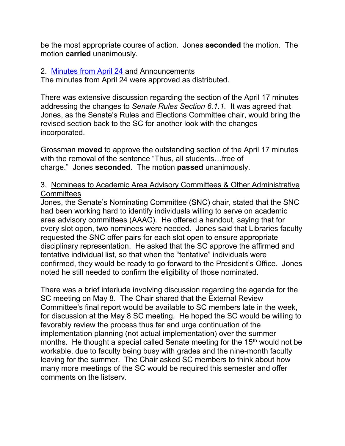be the most appropriate course of action. Jones **seconded** the motion. The motion **carried** unanimously.

## 2. [Minutes from April 24](http://www.uky.edu/USC/New/SCMinutes/2005-2006/SC%20Minutes%20April%2024%202006_FINAL.htm) and Announcements

The minutes from April 24 were approved as distributed.

There was extensive discussion regarding the section of the April 17 minutes addressing the changes to *Senate Rules Section 6.1.1.* It was agreed that Jones, as the Senate's Rules and Elections Committee chair, would bring the revised section back to the SC for another look with the changes incorporated.

Grossman **moved** to approve the outstanding section of the April 17 minutes with the removal of the sentence "Thus, all students…free of charge." Jones **seconded**. The motion **passed** unanimously.

## 3. Nominees to Academic Area Advisory Committees & Other Administrative **Committees**

Jones, the Senate's Nominating Committee (SNC) chair, stated that the SNC had been working hard to identify individuals willing to serve on academic area advisory committees (AAAC). He offered a handout, saying that for every slot open, two nominees were needed. Jones said that Libraries faculty requested the SNC offer pairs for each slot open to ensure appropriate disciplinary representation. He asked that the SC approve the affirmed and tentative individual list, so that when the "tentative" individuals were confirmed, they would be ready to go forward to the President's Office. Jones noted he still needed to confirm the eligibility of those nominated.

There was a brief interlude involving discussion regarding the agenda for the SC meeting on May 8. The Chair shared that the External Review Committee's final report would be available to SC members late in the week, for discussion at the May 8 SC meeting. He hoped the SC would be willing to favorably review the process thus far and urge continuation of the implementation planning (not actual implementation) over the summer months. He thought a special called Senate meeting for the 15<sup>th</sup> would not be workable, due to faculty being busy with grades and the nine-month faculty leaving for the summer. The Chair asked SC members to think about how many more meetings of the SC would be required this semester and offer comments on the listserv.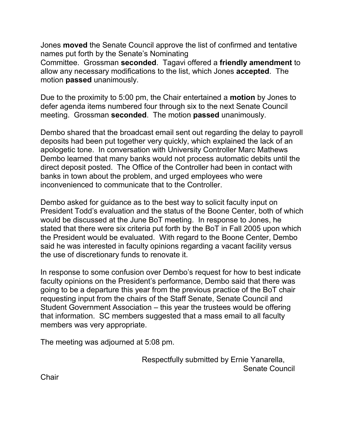Jones **moved** the Senate Council approve the list of confirmed and tentative names put forth by the Senate's Nominating

Committee. Grossman **seconded**. Tagavi offered a **friendly amendment** to allow any necessary modifications to the list, which Jones **accepted**. The motion **passed** unanimously.

Due to the proximity to 5:00 pm, the Chair entertained a **motion** by Jones to defer agenda items numbered four through six to the next Senate Council meeting. Grossman **seconded**. The motion **passed** unanimously.

Dembo shared that the broadcast email sent out regarding the delay to payroll deposits had been put together very quickly, which explained the lack of an apologetic tone. In conversation with University Controller Marc Mathews Dembo learned that many banks would not process automatic debits until the direct deposit posted. The Office of the Controller had been in contact with banks in town about the problem, and urged employees who were inconvenienced to communicate that to the Controller.

Dembo asked for guidance as to the best way to solicit faculty input on President Todd's evaluation and the status of the Boone Center, both of which would be discussed at the June BoT meeting. In response to Jones, he stated that there were six criteria put forth by the BoT in Fall 2005 upon which the President would be evaluated. With regard to the Boone Center, Dembo said he was interested in faculty opinions regarding a vacant facility versus the use of discretionary funds to renovate it.

In response to some confusion over Dembo's request for how to best indicate faculty opinions on the President's performance, Dembo said that there was going to be a departure this year from the previous practice of the BoT chair requesting input from the chairs of the Staff Senate, Senate Council and Student Government Association – this year the trustees would be offering that information. SC members suggested that a mass email to all faculty members was very appropriate.

The meeting was adjourned at 5:08 pm.

Respectfully submitted by Ernie Yanarella, Senate Council

**Chair**